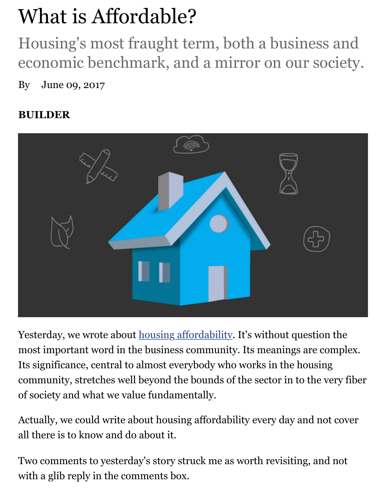## economic benchmark, and a mirror on our society.

By June 09, 2017

## **BUILDER**



Yesterday, we wrote about housing affordability. It's without question most important word in the business community. Its meanings are complex. Its significance, central to almost everybody who works in the housing community, stretches well beyond the bounds of the sector in to the v of society and what we val[ue fundamentally.](http://www.builderonline.com/money/affordability/mix-shift-affordability-and-less-square-footage_o)

Actually, we could write about housing affordability every day and no all there is to know and do about it.

Two comments to yesterday's story struck me as worth revisiting, and with a glib reply in the comments box.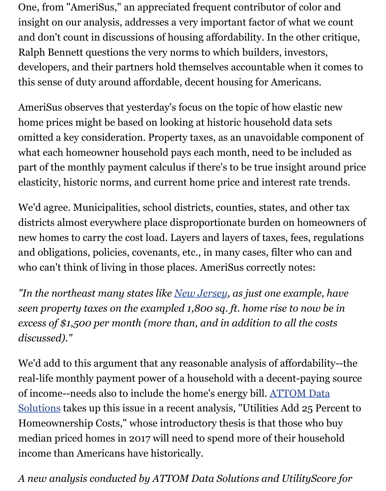developers, and their partners hold themselves accountable when it comes to this sense of duty around affordable, decent housing for Americans.

AmeriSus observes that yesterday's focus on the topic of how elastic new home prices might be based on looking at historic household data set omitted a key consideration. Property taxes, as an unavoidable compo what each homeowner household pays each month, need to be included as a set of the month. part of the monthly payment calculus if there's to be true insight around part of the monthly payment calculus if there's to be true insight around part of the monthly elasticity, historic norms, and current home price and interest rate tre

We'd agree. Municipalities, school districts, counties, states, and othe districts almost everywhere place disproportionate burden on homeo new homes to carry the cost load. Layers and layers of taxes, fees, reg and obligations, policies, covenants, etc., in many cases, filter who can who can't think of living in those places. AmeriSus correctly notes:

"In the northeast many states like New Jersey, as just one example, *seen property taxes on the exampled 1,800 sq. ft. home rise to now b excess of \$1,500 per month (more than, and in addition to all the costally excess of \$1,500 per month (more than, and in addition to all the costs discussed)."*

We'd add to this argument that an[y reasonable](http://www.builderonline.com/local-housing-data) analysis of affordability real-life monthly payment power of a household with a decent-paying of income--needs also to include the home's energy bill. ATTOM Data Solutions takes up this issue in a recent analysis, "Utilities Add 25 Per Homeownership Costs," whose introductory thesis is that those who buy median priced homes in 2017 will need to spend more of their househ income than Americans have historically.

[A new analysis conducted by ATTOM Data Solutions and UtilityScor](http://www.realtytrac.com/news/company-news/power-conversion/)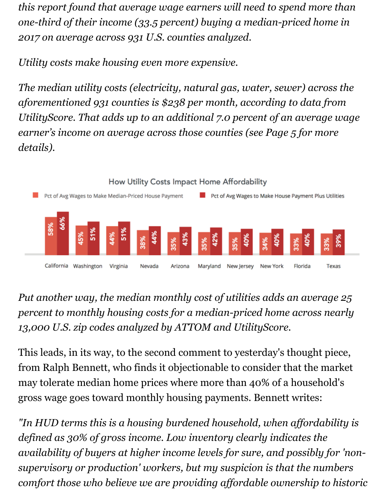*this report found that average wage earners will need to spend more than one-third of their income (33.5 percent) buying a median-priced home in 2017 on average across 931 U.S. counties analyzed.*

*Utility costs make housing even more expensive.*

*The median utility costs (electricity, natural gas, water, sewer) across the aforementioned 931 counties is \$238 per month, according to data from UtilityScore. That adds up to an additional 7.0 percent of an average wage earner's income on average across those counties (see Page 5 for more details).*



*Put another way, the median monthly cost of utilities adds an average 25 percent to monthly housing costs for a median-priced home across nearly 13,000 U.S. zip codes analyzed by ATTOM and UtilityScore.*

This leads, in its way, to the second comment to yesterday's thought piece, from Ralph Bennett, who finds it objectionable to consider that the market may tolerate median home prices where more than 40% of a household's gross wage goes toward monthly housing payments. Bennett writes:

*"In HUD terms this is a housing burdened household, when affordability is defined as 30% of gross income. Low inventory clearly indicates the availability of buyers at higher income levels for sure, and possibly for 'nonsupervisory or production' workers, but my suspicion is that the numbers comfort those who believe we are providing affordable ownership to historic*